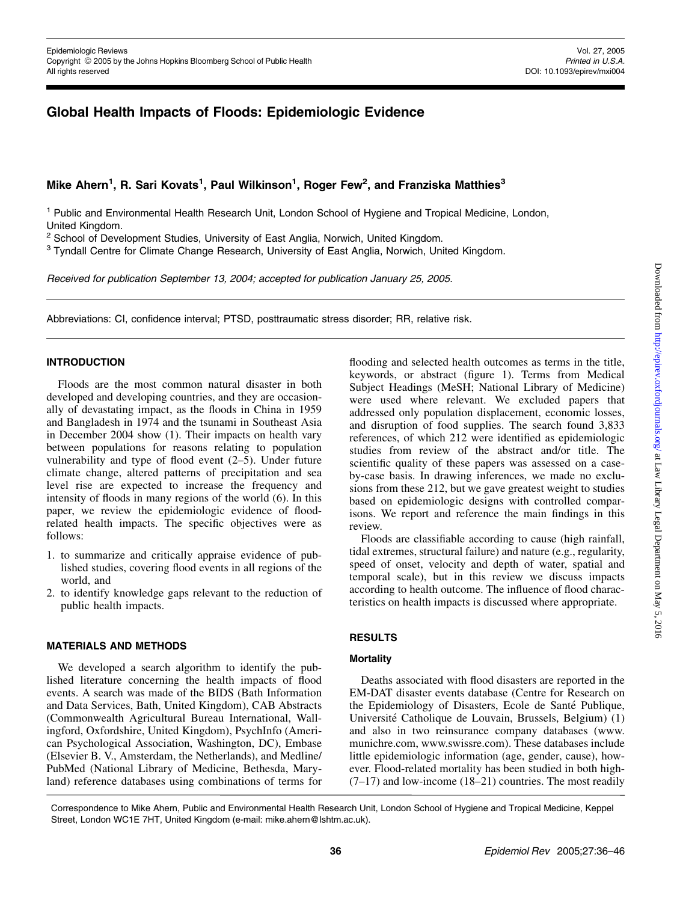# Global Health Impacts of Floods: Epidemiologic Evidence

# Mike Ahern<sup>1</sup>, R. Sari Kovats<sup>1</sup>, Paul Wilkinson<sup>1</sup>, Roger Few<sup>2</sup>, and Franziska Matthies<sup>3</sup>

<sup>1</sup> Public and Environmental Health Research Unit, London School of Hygiene and Tropical Medicine, London, United Kingdom.

<sup>2</sup> School of Development Studies, University of East Anglia, Norwich, United Kingdom.

<sup>3</sup> Tyndall Centre for Climate Change Research, University of East Anglia, Norwich, United Kingdom.

Received for publication September 13, 2004; accepted for publication January 25, 2005.

Abbreviations: CI, confidence interval; PTSD, posttraumatic stress disorder; RR, relative risk.

### INTRODUCTION

Floods are the most common natural disaster in both developed and developing countries, and they are occasionally of devastating impact, as the floods in China in 1959 and Bangladesh in 1974 and the tsunami in Southeast Asia in December 2004 show (1). Their impacts on health vary between populations for reasons relating to population vulnerability and type of flood event (2–5). Under future climate change, altered patterns of precipitation and sea level rise are expected to increase the frequency and intensity of floods in many regions of the world (6). In this paper, we review the epidemiologic evidence of floodrelated health impacts. The specific objectives were as follows:

- 1. to summarize and critically appraise evidence of published studies, covering flood events in all regions of the world, and
- 2. to identify knowledge gaps relevant to the reduction of public health impacts.

#### MATERIALS AND METHODS

We developed a search algorithm to identify the published literature concerning the health impacts of flood events. A search was made of the BIDS (Bath Information and Data Services, Bath, United Kingdom), CAB Abstracts (Commonwealth Agricultural Bureau International, Wallingford, Oxfordshire, United Kingdom), PsychInfo (American Psychological Association, Washington, DC), Embase (Elsevier B. V., Amsterdam, the Netherlands), and Medline/ PubMed (National Library of Medicine, Bethesda, Maryland) reference databases using combinations of terms for

flooding and selected health outcomes as terms in the title, keywords, or abstract (figure 1). Terms from Medical Subject Headings (MeSH; National Library of Medicine) were used where relevant. We excluded papers that addressed only population displacement, economic losses, and disruption of food supplies. The search found 3,833 references, of which 212 were identified as epidemiologic studies from review of the abstract and/or title. The scientific quality of these papers was assessed on a caseby-case basis. In drawing inferences, we made no exclusions from these 212, but we gave greatest weight to studies based on epidemiologic designs with controlled comparisons. We report and reference the main findings in this review.

Floods are classifiable according to cause (high rainfall, tidal extremes, structural failure) and nature (e.g., regularity, speed of onset, velocity and depth of water, spatial and temporal scale), but in this review we discuss impacts according to health outcome. The influence of flood characteristics on health impacts is discussed where appropriate.

### RESULTS

### **Mortality**

Deaths associated with flood disasters are reported in the EM-DAT disaster events database (Centre for Research on the Epidemiology of Disasters, Ecole de Santé Publique, Université Catholique de Louvain, Brussels, Belgium) (1) and also in two reinsurance company databases [\(www.](http://www.munichre.com) [munichre.com,](http://www.munichre.com) [www.swissre.com](http://www.swissre.com)). These databases include little epidemiologic information (age, gender, cause), however. Flood-related mortality has been studied in both high-  $(7-17)$  and low-income  $(18-21)$  countries. The most readily

Correspondence to Mike Ahern, Public and Environmental Health Research Unit, London School of Hygiene and Tropical Medicine, Keppel Street, London WC1E 7HT, United Kingdom (e-mail: mike.ahern@lshtm.ac.uk).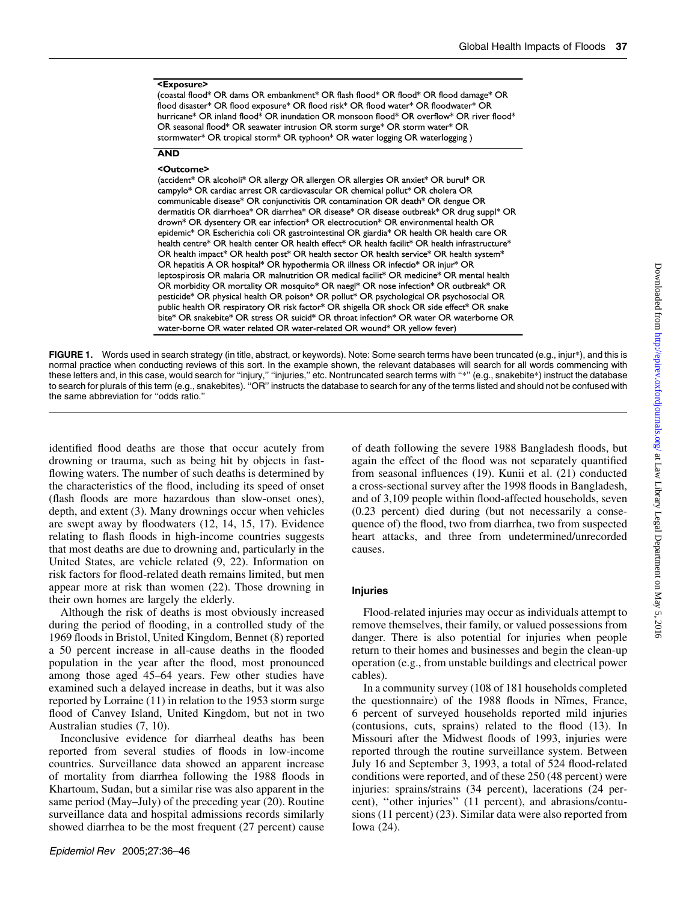### <Exposure>

(coastal flood\* OR dams OR embankment\* OR flash flood\* OR flood\* OR flood damage\* OR flood disaster\* OR flood exposure\* OR flood risk\* OR flood water\* OR floodwater\* OR hurricane\* OR inland flood\* OR inundation OR monsoon flood\* OR overflow\* OR river flood\* OR seasonal flood\* OR seawater intrusion OR storm surge\* OR storm water\* OR stormwater\* OR tropical storm\* OR typhoon\* OR water logging OR waterlogging)

### **AND**

#### <Outcome>

(accident\* OR alcoholi\* OR allergy OR allergen OR allergies OR anxiet\* OR burul\* OR campylo\* OR cardiac arrest OR cardiovascular OR chemical pollut\* OR cholera OR communicable disease\* OR conjunctivitis OR contamination OR death\* OR dengue OR dermatitis OR diarrhoea\* OR diarrhea\* OR disease\* OR disease outbreak\* OR drug suppl\* OR drown\* OR dysentery OR ear infection\* OR electrocution\* OR environmental health OR epidemic\* OR Escherichia coli OR gastrointestinal OR giardia\* OR health OR health care OR health centre\* OR health center OR health effect\* OR health facilit\* OR health infrastructure\* OR health impact\* OR health post\* OR health sector OR health service\* OR health system\* OR hepatitis A OR hospital\* OR hypothermia OR illness OR infectio\* OR injur\* OR leptospirosis OR malaria OR malnutrition OR medical facilit\* OR medicine\* OR mental health OR morbidity OR mortality OR mosquito\* OR naegl\* OR nose infection\* OR outbreak\* OR pesticide\* OR physical health OR poison\* OR pollut\* OR psychological OR psychosocial OR public health OR respiratory OR risk factor\* OR shigella OR shock OR side effect\* OR snake bite\* OR snakebite\* OR stress OR suicid\* OR throat infection\* OR water OR waterborne OR water-borne OR water related OR water-related OR wound\* OR yellow fever)

FIGURE 1. Words used in search strategy (in title, abstract, or keywords). Note: Some search terms have been truncated (e.g., injur\*), and this is normal practice when conducting reviews of this sort. In the example shown, the relevant databases will search for all words commencing with these letters and, in this case, would search for ''injury,'' ''injuries,'' etc. Nontruncated search terms with ''\*'' (e.g., snakebite\*) instruct the database to search for plurals of this term (e.g., snakebites). ''OR'' instructs the database to search for any of the terms listed and should not be confused with the same abbreviation for ''odds ratio.''

identified flood deaths are those that occur acutely from drowning or trauma, such as being hit by objects in fastflowing waters. The number of such deaths is determined by the characteristics of the flood, including its speed of onset (flash floods are more hazardous than slow-onset ones), depth, and extent (3). Many drownings occur when vehicles are swept away by floodwaters (12, 14, 15, 17). Evidence relating to flash floods in high-income countries suggests that most deaths are due to drowning and, particularly in the United States, are vehicle related (9, 22). Information on risk factors for flood-related death remains limited, but men appear more at risk than women (22). Those drowning in their own homes are largely the elderly.

Although the risk of deaths is most obviously increased during the period of flooding, in a controlled study of the 1969 floods in Bristol, United Kingdom, Bennet (8) reported a 50 percent increase in all-cause deaths in the flooded population in the year after the flood, most pronounced among those aged 45–64 years. Few other studies have examined such a delayed increase in deaths, but it was also reported by Lorraine (11) in relation to the 1953 storm surge flood of Canvey Island, United Kingdom, but not in two Australian studies (7, 10).

Inconclusive evidence for diarrheal deaths has been reported from several studies of floods in low-income countries. Surveillance data showed an apparent increase of mortality from diarrhea following the 1988 floods in Khartoum, Sudan, but a similar rise was also apparent in the same period (May–July) of the preceding year (20). Routine surveillance data and hospital admissions records similarly showed diarrhea to be the most frequent (27 percent) cause

of death following the severe 1988 Bangladesh floods, but again the effect of the flood was not separately quantified from seasonal influences (19). Kunii et al. (21) conducted a cross-sectional survey after the 1998 floods in Bangladesh, and of 3,109 people within flood-affected households, seven (0.23 percent) died during (but not necessarily a consequence of) the flood, two from diarrhea, two from suspected heart attacks, and three from undetermined/unrecorded causes.

### Injuries

Flood-related injuries may occur as individuals attempt to remove themselves, their family, or valued possessions from danger. There is also potential for injuries when people return to their homes and businesses and begin the clean-up operation (e.g., from unstable buildings and electrical power cables).

In a community survey (108 of 181 households completed the questionnaire) of the 1988 floods in Nîmes, France, 6 percent of surveyed households reported mild injuries (contusions, cuts, sprains) related to the flood (13). In Missouri after the Midwest floods of 1993, injuries were reported through the routine surveillance system. Between July 16 and September 3, 1993, a total of 524 flood-related conditions were reported, and of these 250 (48 percent) were injuries: sprains/strains (34 percent), lacerations (24 percent), ''other injuries'' (11 percent), and abrasions/contusions (11 percent) (23). Similar data were also reported from Iowa (24).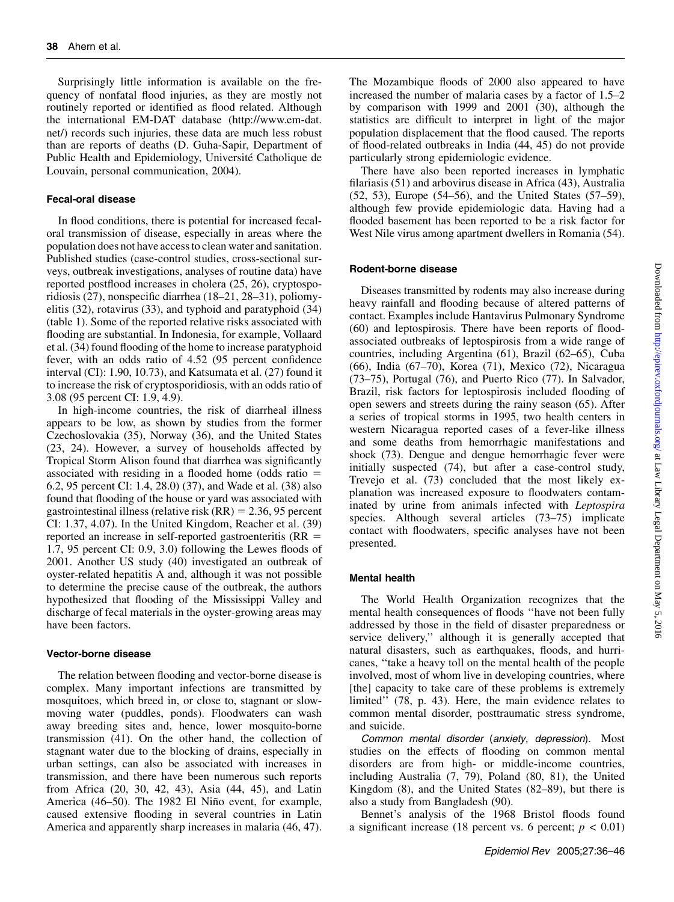Surprisingly little information is available on the frequency of nonfatal flood injuries, as they are mostly not routinely reported or identified as flood related. Although the international EM-DAT database [\(http://www.em-dat.](http://www.em-dat.net/) [net/](http://www.em-dat.net/)) records such injuries, these data are much less robust than are reports of deaths (D. Guha-Sapir, Department of Public Health and Epidemiology, Université Catholique de Louvain, personal communication, 2004).

#### Fecal-oral disease

In flood conditions, there is potential for increased fecaloral transmission of disease, especially in areas where the population does not have access to clean water and sanitation. Published studies (case-control studies, cross-sectional surveys, outbreak investigations, analyses of routine data) have reported postflood increases in cholera (25, 26), cryptosporidiosis (27), nonspecific diarrhea (18–21, 28–31), poliomyelitis (32), rotavirus (33), and typhoid and paratyphoid (34) (table 1). Some of the reported relative risks associated with flooding are substantial. In Indonesia, for example, Vollaard et al. (34) found flooding of the home to increase paratyphoid fever, with an odds ratio of 4.52 (95 percent confidence interval (CI): 1.90, 10.73), and Katsumata et al. (27) found it to increase the risk of cryptosporidiosis, with an odds ratio of 3.08 (95 percent CI: 1.9, 4.9).

In high-income countries, the risk of diarrheal illness appears to be low, as shown by studies from the former Czechoslovakia (35), Norway (36), and the United States (23, 24). However, a survey of households affected by Tropical Storm Alison found that diarrhea was significantly associated with residing in a flooded home (odds ratio  $=$ 6.2, 95 percent CI: 1.4, 28.0) (37), and Wade et al. (38) also found that flooding of the house or yard was associated with gastrointestinal illness (relative risk  $(RR) = 2.36, 95$  percent CI: 1.37, 4.07). In the United Kingdom, Reacher et al. (39) reported an increase in self-reported gastroenteritis  $(RR =$ 1.7, 95 percent CI: 0.9, 3.0) following the Lewes floods of 2001. Another US study (40) investigated an outbreak of oyster-related hepatitis A and, although it was not possible to determine the precise cause of the outbreak, the authors hypothesized that flooding of the Mississippi Valley and discharge of fecal materials in the oyster-growing areas may have been factors.

### Vector-borne disease

The relation between flooding and vector-borne disease is complex. Many important infections are transmitted by mosquitoes, which breed in, or close to, stagnant or slowmoving water (puddles, ponds). Floodwaters can wash away breeding sites and, hence, lower mosquito-borne transmission (41). On the other hand, the collection of stagnant water due to the blocking of drains, especially in urban settings, can also be associated with increases in transmission, and there have been numerous such reports from Africa (20, 30, 42, 43), Asia (44, 45), and Latin America (46–50). The 1982 El Niño event, for example, caused extensive flooding in several countries in Latin America and apparently sharp increases in malaria (46, 47).

The Mozambique floods of 2000 also appeared to have increased the number of malaria cases by a factor of 1.5–2 by comparison with 1999 and 2001 (30), although the statistics are difficult to interpret in light of the major population displacement that the flood caused. The reports of flood-related outbreaks in India (44, 45) do not provide particularly strong epidemiologic evidence.

There have also been reported increases in lymphatic filariasis (51) and arbovirus disease in Africa (43), Australia (52, 53), Europe (54–56), and the United States (57–59), although few provide epidemiologic data. Having had a flooded basement has been reported to be a risk factor for West Nile virus among apartment dwellers in Romania (54).

#### Rodent-borne disease

Diseases transmitted by rodents may also increase during heavy rainfall and flooding because of altered patterns of contact. Examples include Hantavirus Pulmonary Syndrome (60) and leptospirosis. There have been reports of floodassociated outbreaks of leptospirosis from a wide range of countries, including Argentina (61), Brazil (62–65), Cuba (66), India (67–70), Korea (71), Mexico (72), Nicaragua (73–75), Portugal (76), and Puerto Rico (77). In Salvador, Brazil, risk factors for leptospirosis included flooding of open sewers and streets during the rainy season (65). After a series of tropical storms in 1995, two health centers in western Nicaragua reported cases of a fever-like illness and some deaths from hemorrhagic manifestations and shock (73). Dengue and dengue hemorrhagic fever were initially suspected (74), but after a case-control study, Trevejo et al. (73) concluded that the most likely explanation was increased exposure to floodwaters contaminated by urine from animals infected with Leptospira species. Although several articles (73–75) implicate contact with floodwaters, specific analyses have not been presented.

#### Mental health

The World Health Organization recognizes that the mental health consequences of floods ''have not been fully addressed by those in the field of disaster preparedness or service delivery,'' although it is generally accepted that natural disasters, such as earthquakes, floods, and hurricanes, ''take a heavy toll on the mental health of the people involved, most of whom live in developing countries, where [the] capacity to take care of these problems is extremely limited'' (78, p. 43). Here, the main evidence relates to common mental disorder, posttraumatic stress syndrome, and suicide.

Common mental disorder (anxiety, depression). Most studies on the effects of flooding on common mental disorders are from high- or middle-income countries, including Australia (7, 79), Poland (80, 81), the United Kingdom (8), and the United States (82–89), but there is also a study from Bangladesh (90).

Bennet's analysis of the 1968 Bristol floods found a significant increase (18 percent vs. 6 percent;  $p < 0.01$ )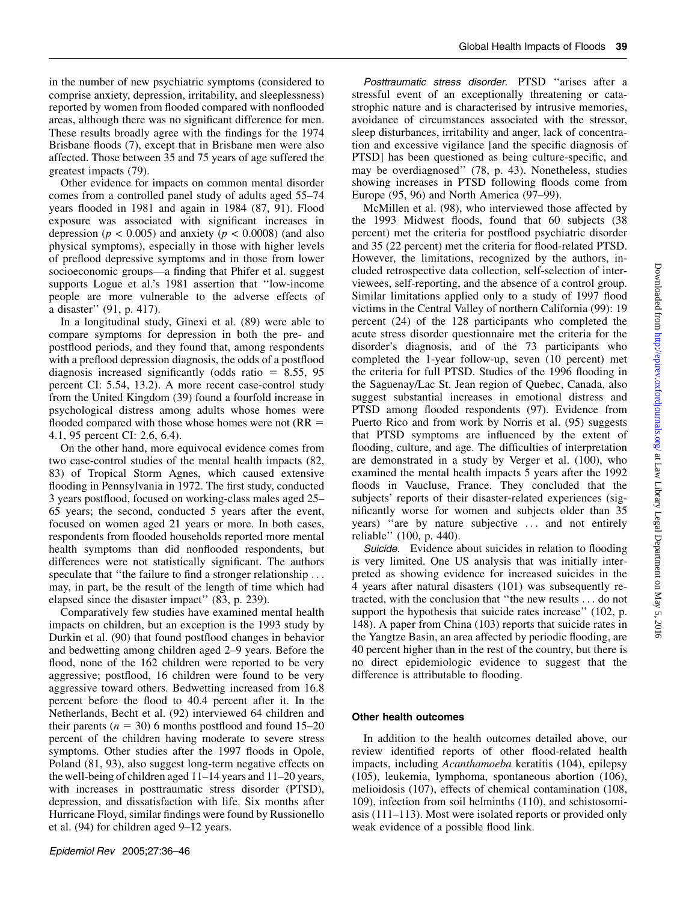in the number of new psychiatric symptoms (considered to comprise anxiety, depression, irritability, and sleeplessness) reported by women from flooded compared with nonflooded areas, although there was no significant difference for men. These results broadly agree with the findings for the 1974 Brisbane floods (7), except that in Brisbane men were also affected. Those between 35 and 75 years of age suffered the greatest impacts (79).

Other evidence for impacts on common mental disorder comes from a controlled panel study of adults aged 55–74 years flooded in 1981 and again in 1984 (87, 91). Flood exposure was associated with significant increases in depression ( $p < 0.005$ ) and anxiety ( $p < 0.0008$ ) (and also physical symptoms), especially in those with higher levels of preflood depressive symptoms and in those from lower socioeconomic groups—a finding that Phifer et al. suggest supports Logue et al.'s 1981 assertion that ''low-income people are more vulnerable to the adverse effects of a disaster'' (91, p. 417).

In a longitudinal study, Ginexi et al. (89) were able to compare symptoms for depression in both the pre- and postflood periods, and they found that, among respondents with a preflood depression diagnosis, the odds of a postflood diagnosis increased significantly (odds ratio  $= 8.55, 95$ percent CI: 5.54, 13.2). A more recent case-control study from the United Kingdom (39) found a fourfold increase in psychological distress among adults whose homes were flooded compared with those whose homes were not  $(RR =$ 4.1, 95 percent CI: 2.6, 6.4).

On the other hand, more equivocal evidence comes from two case-control studies of the mental health impacts (82, 83) of Tropical Storm Agnes, which caused extensive flooding in Pennsylvania in 1972. The first study, conducted 3 years postflood, focused on working-class males aged 25– 65 years; the second, conducted 5 years after the event, focused on women aged 21 years or more. In both cases, respondents from flooded households reported more mental health symptoms than did nonflooded respondents, but differences were not statistically significant. The authors speculate that "the failure to find a stronger relationship ... may, in part, be the result of the length of time which had elapsed since the disaster impact'' (83, p. 239).

Comparatively few studies have examined mental health impacts on children, but an exception is the 1993 study by Durkin et al. (90) that found postflood changes in behavior and bedwetting among children aged 2–9 years. Before the flood, none of the 162 children were reported to be very aggressive; postflood, 16 children were found to be very aggressive toward others. Bedwetting increased from 16.8 percent before the flood to 40.4 percent after it. In the Netherlands, Becht et al. (92) interviewed 64 children and their parents ( $n = 30$ ) 6 months postflood and found 15–20 percent of the children having moderate to severe stress symptoms. Other studies after the 1997 floods in Opole, Poland (81, 93), also suggest long-term negative effects on the well-being of children aged 11–14 years and 11–20 years, with increases in posttraumatic stress disorder (PTSD), depression, and dissatisfaction with life. Six months after Hurricane Floyd, similar findings were found by Russionello et al. (94) for children aged 9–12 years.

Posttraumatic stress disorder. PTSD ''arises after a stressful event of an exceptionally threatening or catastrophic nature and is characterised by intrusive memories, avoidance of circumstances associated with the stressor, sleep disturbances, irritability and anger, lack of concentration and excessive vigilance [and the specific diagnosis of PTSD] has been questioned as being culture-specific, and may be overdiagnosed'' (78, p. 43). Nonetheless, studies showing increases in PTSD following floods come from Europe (95, 96) and North America (97–99).

McMillen et al. (98), who interviewed those affected by the 1993 Midwest floods, found that 60 subjects (38 percent) met the criteria for postflood psychiatric disorder and 35 (22 percent) met the criteria for flood-related PTSD. However, the limitations, recognized by the authors, included retrospective data collection, self-selection of interviewees, self-reporting, and the absence of a control group. Similar limitations applied only to a study of 1997 flood victims in the Central Valley of northern California (99): 19 percent (24) of the 128 participants who completed the acute stress disorder questionnaire met the criteria for the disorder's diagnosis, and of the 73 participants who completed the 1-year follow-up, seven (10 percent) met the criteria for full PTSD. Studies of the 1996 flooding in the Saguenay/Lac St. Jean region of Quebec, Canada, also suggest substantial increases in emotional distress and PTSD among flooded respondents (97). Evidence from Puerto Rico and from work by Norris et al. (95) suggests that PTSD symptoms are influenced by the extent of flooding, culture, and age. The difficulties of interpretation are demonstrated in a study by Verger et al. (100), who examined the mental health impacts 5 years after the 1992 floods in Vaucluse, France. They concluded that the subjects' reports of their disaster-related experiences (significantly worse for women and subjects older than 35 years) ''are by nature subjective ... and not entirely reliable'' (100, p. 440).

Suicide. Evidence about suicides in relation to flooding is very limited. One US analysis that was initially interpreted as showing evidence for increased suicides in the 4 years after natural disasters (101) was subsequently retracted, with the conclusion that ''the new results ... do not support the hypothesis that suicide rates increase" (102, p. 148). A paper from China (103) reports that suicide rates in the Yangtze Basin, an area affected by periodic flooding, are 40 percent higher than in the rest of the country, but there is no direct epidemiologic evidence to suggest that the difference is attributable to flooding.

## Other health outcomes

In addition to the health outcomes detailed above, our review identified reports of other flood-related health impacts, including Acanthamoeba keratitis (104), epilepsy (105), leukemia, lymphoma, spontaneous abortion (106), melioidosis (107), effects of chemical contamination (108, 109), infection from soil helminths (110), and schistosomiasis (111–113). Most were isolated reports or provided only weak evidence of a possible flood link.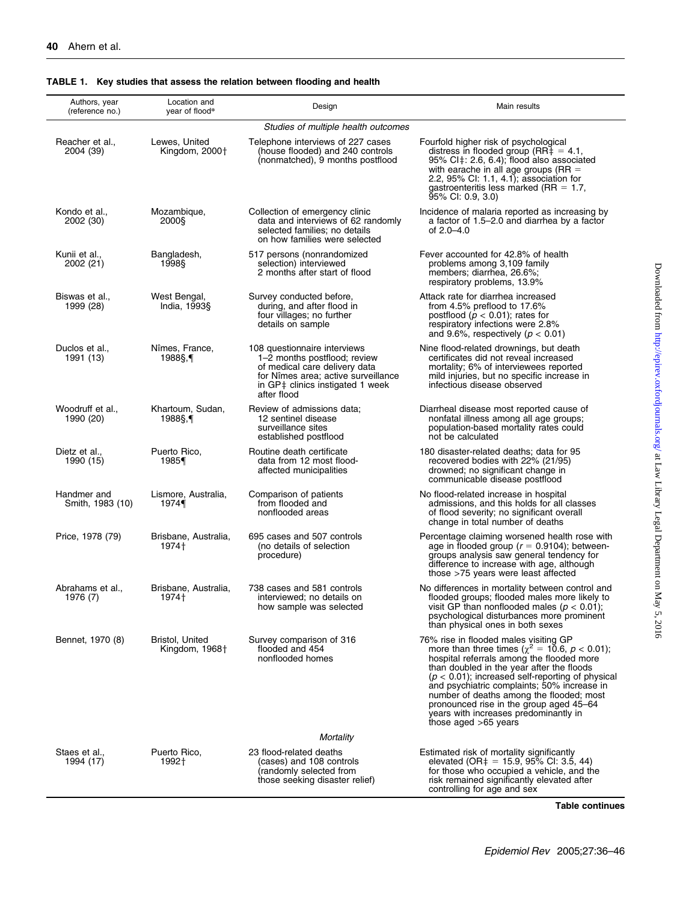#### Authors, year (reference no.) Location and<br>vear of flood<sup>®</sup> Location and the Design Design Collection of the Main results<br>year of flood\* Studies of multiple health outcomes Reacher et al., 2004 (39) Lewes, United Kingdom, 2000<sup>+</sup> Telephone interviews of 227 cases (house flooded) and 240 controls (nonmatched), 9 months postflood Fourfold higher risk of psychological distress in flooded group (RR‡ = 4.1,<br>95% CI‡: 2.6, 6.4); flood also associated with earache in all age groups (RR =<br>2.2, 95% CI: 1.1, 4.1); association for gastroenteritis less marked (RR = 1.7,<br>95% Cl: 0.9, 3.0) Kondo et al., 2002 (30) Mozambique, 2000§ Collection of emergency clinic data and interviews of 62 randomly selected families; no details on how families were selected Incidence of malaria reported as increasing by a factor of 1.5–2.0 and diarrhea by a factor of 2.0–4.0 Kunii et al., 2002 (21) Bangladesh, 1998§ 517 persons (nonrandomized selection) interviewed 2 months after start of flood Fever accounted for 42.8% of health problems among 3,109 family members; diarrhea, 26.6%; respiratory problems, 13.9% Biswas et al., 1999 (28) West Bengal, India, 1993§ Survey conducted before, during, and after flood in four villages; no further details on sample Attack rate for diarrhea increased from 4.5% preflood to 17.6% postflood ( $p < 0.01$ ); rates for respiratory infections were 2.8% and 9.6%, respectively ( $p < 0.01$ ) Duclos et al., 1991 (13) Nîmes, France, 1988§,{ 108 questionnaire interviews 1–2 months postflood; review of medical care delivery data for Nîmes area; active surveillance in GP‡ clinics instigated 1 week<br>after flood Nine flood-related drownings, but death certificates did not reveal increased mortality; 6% of interviewees reported mild injuries, but no specific increase in infectious disease observed Woodruff et al., 1990 (20) Khartoum, Sudan, 1988§,{ Review of admissions data; 12 sentinel disease surveillance sites established postflood Diarrheal disease most reported cause of nonfatal illness among all age groups; population-based mortality rates could not be calculated Dietz et al. 1990 (15) Puerto Rico, 1985{ Routine death certificate data from 12 most floodaffected municipalities 180 disaster-related deaths; data for 95 recovered bodies with 22% (21/95) drowned; no significant change in communicable disease postflood Handmer and Smith, 1983 (10) Lismore, Australia, 1974{ Comparison of patients from flooded and nonflooded areas No flood-related increase in hospital admissions, and this holds for all classes of flood severity; no significant overall change in total number of deaths Price, 1978 (79) Brisbane, Australia, 1974+ 695 cases and 507 controls (no details of selection procedure) Percentage claiming worsened health rose with age in flooded group ( $r = 0.9104$ ); betweengroups analysis saw general tendency for difference to increase with age, although those >75 years were least affected Abrahams et al., 1976 (7) Brisbane, Australia, 1974+ 738 cases and 581 controls interviewed; no details on how sample was selected No differences in mortality between control and flooded groups; flooded males more likely to visit GP than nonflooded males ( $p < 0.01$ ); psychological disturbances more prominent than physical ones in both sexes Bennet, 1970 (8) Bristol, United Kingdom,  $1968<sup>+</sup>$ Survey comparison of 316 flooded and 454 nonflooded homes 76% rise in flooded males visiting GP<br>more than three times  $(\chi^2 = 10.6, p < 0.01)$ ;<br>hospital referrals among the flooded more than doubled in the year after the floods  $(p < 0.01)$ ; increased self-reporting of physical and psychiatric complaints; 50% increase in number of deaths among the flooded; most pronounced rise in the group aged 45–64 years with increases predominantly in those aged >65 years **Mortality** Staes et al. 1994 (17) Puerto Rico, 1992+ 23 flood-related deaths (cases) and 108 controls (randomly selected from those seeking disaster relief) Estimated risk of mortality significantly<br>elevated (OR‡ = 15.9, 95% Cl: 3.5, 44) for those who occupied a vehicle, and the risk remained significantly elevated after controlling for age and sex

#### TABLE 1. Key studies that assess the relation between flooding and health

Table continues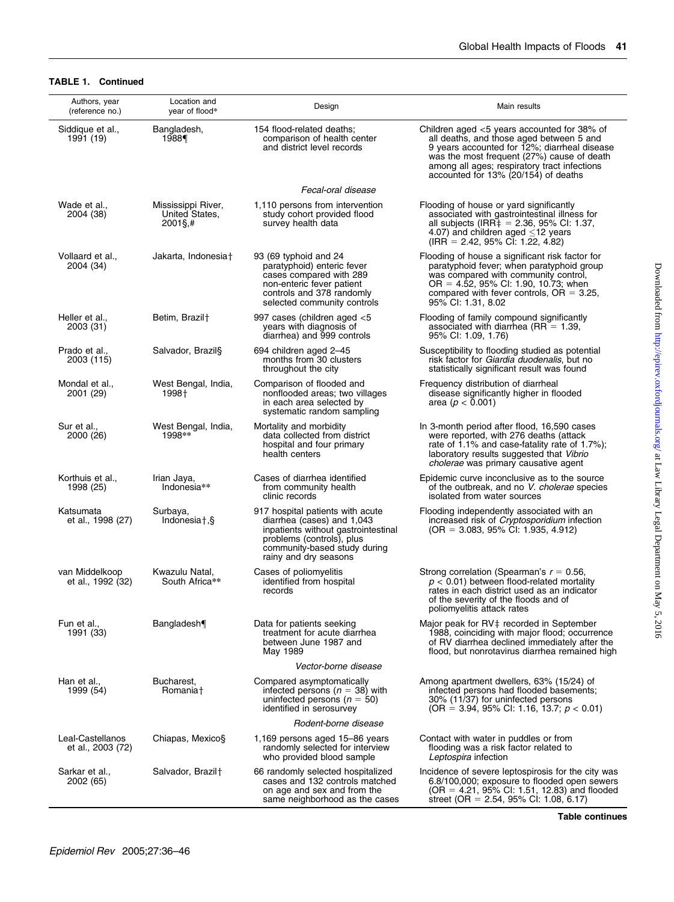### TABLE 1. Continued

| Authors, year<br>(reference no.)      | Location and<br>year of flood*                        | Design                                                                                                                                                                                      | Main results                                                                                                                                                                                                                                                                     |  |
|---------------------------------------|-------------------------------------------------------|---------------------------------------------------------------------------------------------------------------------------------------------------------------------------------------------|----------------------------------------------------------------------------------------------------------------------------------------------------------------------------------------------------------------------------------------------------------------------------------|--|
| Siddique et al.,<br>1991 (19)         | Bangladesh,<br>1988¶                                  | 154 flood-related deaths;<br>comparison of health center<br>and district level records                                                                                                      | Children aged $<$ 5 years accounted for 38% of<br>all deaths, and those aged between 5 and<br>9 years accounted for 12%; diarrheal disease<br>was the most frequent (27%) cause of death<br>among all ages; respiratory tract infections<br>accounted for 13% (20/154) of deaths |  |
|                                       |                                                       | Fecal-oral disease                                                                                                                                                                          |                                                                                                                                                                                                                                                                                  |  |
| Wade et al.,<br>2004 (38)             | Mississippi River,<br>United States.<br>$2001\$ S, \# | 1,110 persons from intervention<br>study cohort provided flood<br>survey health data                                                                                                        | Flooding of house or yard significantly<br>associated with gastrointestinal illness for<br>all subjects (IRR $\ddagger$ = 2.36, 95% CI: 1.37,<br>4.07) and children aged $\leq$ 12 years<br>$(IRR = 2.42, 95\% \text{ CI: } 1.22, 4.82)$                                         |  |
| Vollaard et al.,<br>2004 (34)         | Jakarta, Indonesia†                                   | 93 (69 typhoid and 24<br>paratyphoid) enteric fever<br>cases compared with 289<br>non-enteric fever patient<br>controls and 378 randomly<br>selected community controls                     | Flooding of house a significant risk factor for<br>paratyphoid fever; when paratyphoid group<br>was compared with community control,<br>$OR = 4.52$ , 95% CI: 1.90, 10.73; when<br>compared with fever controls, $OR = 3.25$ ,<br>95% CI: 1.31, 8.02                             |  |
| Heller et al.,<br>2003 (31)           | Betim, Brazil <sup>+</sup>                            | 997 cases (children aged <5<br>years with diagnosis of<br>diarrhea) and 999 controls                                                                                                        | Flooding of family compound significantly<br>associated with diarrhea ( $RR = 1.39$ ,<br>95% CI: 1.09, 1.76)                                                                                                                                                                     |  |
| Prado et al.,<br>2003 (115)           | Salvador, Brazil§                                     | 694 children aged 2-45<br>months from 30 clusters<br>throughout the city                                                                                                                    | Susceptibility to flooding studied as potential<br>risk factor for Giardia duodenalis, but no<br>statistically significant result was found                                                                                                                                      |  |
| Mondal et al.,<br>2001 (29)           | West Bengal, India,<br>1998†                          | Comparison of flooded and<br>nonflooded areas; two villages<br>in each area selected by<br>systematic random sampling                                                                       | Frequency distribution of diarrheal<br>disease significantly higher in flooded<br>area ( $p < 0.001$ )                                                                                                                                                                           |  |
| Sur et al<br>2000 (26)                | West Bengal, India,<br>1998**                         | Mortality and morbidity<br>data collected from district<br>hospital and four primary<br>health centers                                                                                      | In 3-month period after flood, 16,590 cases<br>were reported, with 276 deaths (attack<br>rate of 1.1% and case-fatality rate of 1.7%);<br>laboratory results suggested that Vibrio<br>cholerae was primary causative agent                                                       |  |
| Korthuis et al.,<br>1998 (25)         | Irian Jaya,<br>Indonesia**                            | Cases of diarrhea identified<br>from community health<br>clinic records                                                                                                                     | Epidemic curve inconclusive as to the source<br>of the outbreak, and no V. cholerae species<br>isolated from water sources                                                                                                                                                       |  |
| Katsumata<br>et al., 1998 (27)        | Surbaya,<br>Indonesia <sub>t</sub> ,§                 | 917 hospital patients with acute<br>diarrhea (cases) and 1,043<br>inpatients without gastrointestinal<br>problems (controls), plus<br>community-based study during<br>rainy and dry seasons | Flooding independently associated with an<br>increased risk of <i>Cryptosporidium</i> infection<br>$(OR = 3.083, 95\% \text{ Cl: } 1.935, 4.912)$                                                                                                                                |  |
| van Middelkoop<br>et al., 1992 (32)   | Kwazulu Natal,<br>South Africa**                      | Cases of poliomyelitis<br>identified from hospital<br>records                                                                                                                               | Strong correlation (Spearman's $r = 0.56$ ,<br>$p < 0.01$ ) between flood-related mortality<br>rates in each district used as an indicator<br>of the severity of the floods and of<br>poliomyelitis attack rates                                                                 |  |
| Fun et al.,<br>1991 (33)              | Bangladesh                                            | Data for patients seeking<br>treatment for acute diarrhea<br>between June 1987 and<br>May 1989                                                                                              | Major peak for RV‡ recorded in September<br>1988, coinciding with major flood; occurrence<br>of RV diarrhea declined immediately after the<br>flood, but nonrotavirus diarrhea remained high                                                                                     |  |
| Vector-borne disease                  |                                                       |                                                                                                                                                                                             |                                                                                                                                                                                                                                                                                  |  |
| Han et al.,<br>1999 (54)              | Bucharest,<br>Romania†                                | Compared asymptomatically<br>infected persons ( $n = 38$ ) with<br>uninfected persons ( $n = 50$ )<br>identified in serosurvey                                                              | Among apartment dwellers, 63% (15/24) of<br>infected persons had flooded basements;<br>30% (11/37) for uninfected persons<br>(OR = 3.94, 95% CI: 1.16, 13.7; $p < 0.01$ )                                                                                                        |  |
| Rodent-borne disease                  |                                                       |                                                                                                                                                                                             |                                                                                                                                                                                                                                                                                  |  |
| Leal-Castellanos<br>et al., 2003 (72) | Chiapas, Mexico§                                      | 1,169 persons aged 15-86 years<br>randomly selected for interview<br>who provided blood sample                                                                                              | Contact with water in puddles or from<br>flooding was a risk factor related to<br>Leptospira infection                                                                                                                                                                           |  |
| Sarkar et al.,<br>2002 (65)           | Salvador, Brazil <sup>+</sup>                         | 66 randomly selected hospitalized<br>cases and 132 controls matched<br>on age and sex and from the<br>same neighborhood as the cases                                                        | Incidence of severe leptospirosis for the city was<br>6.8/100,000; exposure to flooded open sewers<br>$(OR = 4.21, 95\% \text{ Cl: } 1.51, 12.83)$ and flooded<br>street (OR = $2.54$ , 95% CI: 1.08, 6.17)                                                                      |  |

Downloaded from http://epirev.oxfordjournals.org/ at Law Library Legal Department on May 5, 2016 Downloaded from <http://epirev.oxfordjournals.org/> at Law Library Legal Department on May 5, 2016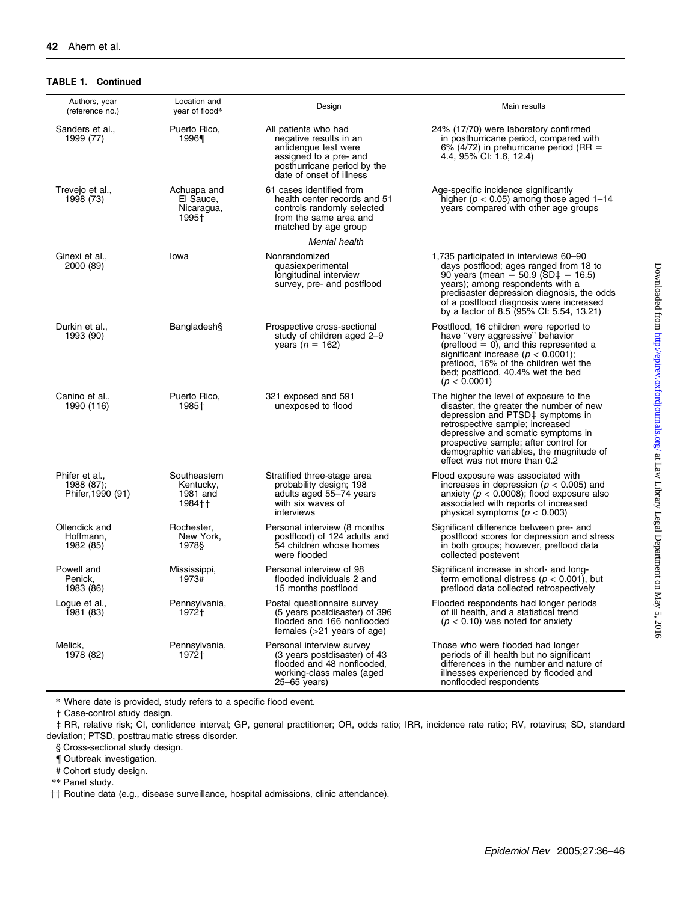#### TABLE 1. Continued

| Authors, year<br>(reference no.)                | Location and<br>year of flood*                    | Design                                                                                                                                                      | Main results                                                                                                                                                                                                                                                                                                        |
|-------------------------------------------------|---------------------------------------------------|-------------------------------------------------------------------------------------------------------------------------------------------------------------|---------------------------------------------------------------------------------------------------------------------------------------------------------------------------------------------------------------------------------------------------------------------------------------------------------------------|
| Sanders et al.,<br>1999 (77)                    | Puerto Rico,<br>1996¶                             | All patients who had<br>negative results in an<br>antidengue test were<br>assigned to a pre- and<br>posthurricane period by the<br>date of onset of illness | 24% (17/70) were laboratory confirmed<br>in posthurricane period, compared with<br>6% (4/72) in prehurricane period (RR $=$<br>4.4, 95% CI: 1.6, 12.4)                                                                                                                                                              |
| Trevejo et al.,<br>1998 (73)                    | Achuapa and<br>El Sauce,<br>Nicaragua,<br>1995†   | 61 cases identified from<br>health center records and 51<br>controls randomly selected<br>from the same area and<br>matched by age group                    | Age-specific incidence significantly<br>higher ( $p < 0.05$ ) among those aged 1-14<br>years compared with other age groups                                                                                                                                                                                         |
|                                                 |                                                   | Mental health                                                                                                                                               |                                                                                                                                                                                                                                                                                                                     |
| Ginexi et al.,<br>2000 (89)                     | lowa                                              | Nonrandomized<br>quasiexperimental<br>longitudinal interview<br>survey, pre- and postflood                                                                  | 1,735 participated in interviews 60-90<br>days postflood; ages ranged from 18 to<br>90 years (mean = 50.9 (SD $\ddagger$ = 16.5)<br>years); among respondents with a<br>predisaster depression diagnosis, the odds<br>of a postflood diagnosis were increased<br>by a factor of 8.5 (95% CI: 5.54, 13.21)           |
| Durkin et al.,<br>1993 (90)                     | Bangladesh§                                       | Prospective cross-sectional<br>study of children aged 2-9<br>years ( $n = 162$ )                                                                            | Postflood, 16 children were reported to<br>have "very aggressive" behavior<br>$(pred = 0)$ , and this represented a<br>significant increase ( $p < 0.0001$ );<br>preflood, 16% of the children wet the<br>bed; postflood, 40.4% wet the bed<br>(p < 0.0001)                                                         |
| Canino et al<br>1990 (116)                      | Puerto Rico,<br>1985†                             | 321 exposed and 591<br>unexposed to flood                                                                                                                   | The higher the level of exposure to the<br>disaster, the greater the number of new<br>depression and PTSD‡ symptoms in<br>retrospective sample; increased<br>depressive and somatic symptoms in<br>prospective sample; after control for<br>demographic variables, the magnitude of<br>effect was not more than 0.2 |
| Phifer et al<br>1988 (87);<br>Phifer, 1990 (91) | Southeastern<br>Kentucky,<br>1981 and<br>$1984 +$ | Stratified three-stage area<br>probability design; 198<br>adults aged 55-74 years<br>with six waves of<br>interviews                                        | Flood exposure was associated with<br>increases in depression ( $p < 0.005$ ) and<br>anxiety ( $p < 0.0008$ ); flood exposure also<br>associated with reports of increased<br>physical symptoms ( $p < 0.003$ )                                                                                                     |
| Ollendick and<br>Hoffmann.<br>1982 (85)         | Rochester,<br>New York.<br>1978§                  | Personal interview (8 months<br>postflood) of 124 adults and<br>54 children whose homes<br>were flooded                                                     | Significant difference between pre- and<br>postflood scores for depression and stress<br>in both groups; however, preflood data<br>collected postevent                                                                                                                                                              |
| Powell and<br>Penick.<br>1983 (86)              | Mississippi,<br>1973#                             | Personal interview of 98<br>flooded individuals 2 and<br>15 months postflood                                                                                | Significant increase in short- and long-<br>term emotional distress ( $p < 0.001$ ), but<br>preflood data collected retrospectively                                                                                                                                                                                 |
| Logue et al.,<br>1981 (83)                      | Pennsylvania,<br>1972†                            | Postal questionnaire survey<br>(5 years postdisaster) of 396<br>flooded and 166 nonflooded<br>females $(>21$ years of age)                                  | Flooded respondents had longer periods<br>of ill health, and a statistical trend<br>( $p < 0.10$ ) was noted for anxiety                                                                                                                                                                                            |
| Melick.<br>1978 (82)                            | Pennsylvania.<br>1972†                            | Personal interview survey<br>(3 years postdisaster) of 43<br>flooded and 48 nonflooded,<br>working-class males (aged<br>25–65 years)                        | Those who were flooded had longer<br>periods of ill health but no significant<br>differences in the number and nature of<br>illnesses experienced by flooded and<br>nonflooded respondents                                                                                                                          |

\* Where date is provided, study refers to a specific flood event.

 $\dagger$  Case-control study design.

z RR, relative risk; CI, confidence interval; GP, general practitioner; OR, odds ratio; IRR, incidence rate ratio; RV, rotavirus; SD, standard deviation; PTSD, posttraumatic stress disorder.

§ Cross-sectional study design.

{ Outbreak investigation.

# Cohort study design.

\*\* Panel study.

 $\dagger\dagger$  Routine data (e.g., disease surveillance, hospital admissions, clinic attendance).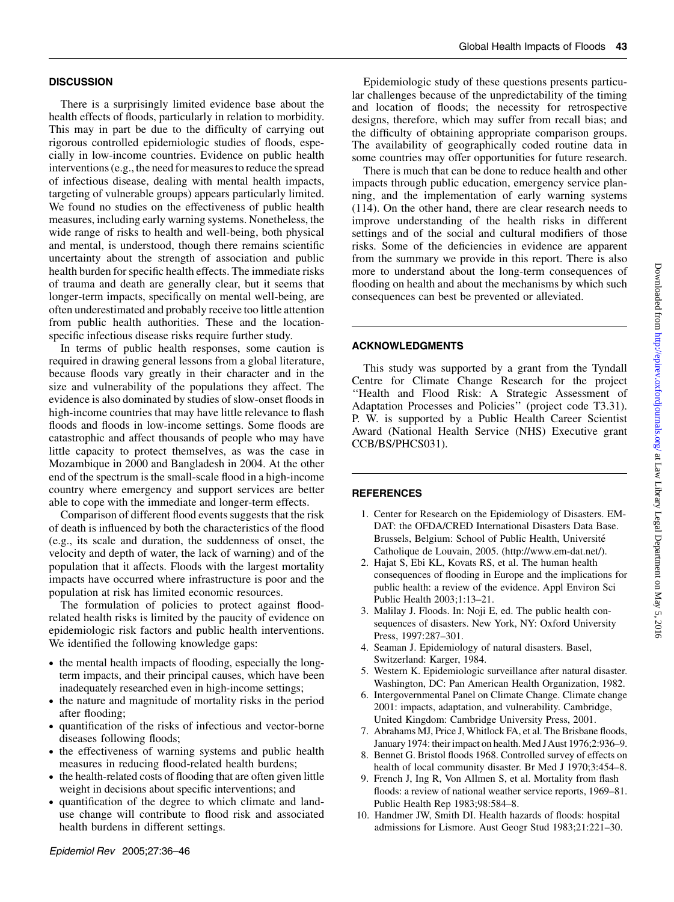## **DISCUSSION**

There is a surprisingly limited evidence base about the health effects of floods, particularly in relation to morbidity. This may in part be due to the difficulty of carrying out rigorous controlled epidemiologic studies of floods, especially in low-income countries. Evidence on public health interventions (e.g., the need for measures to reduce the spread of infectious disease, dealing with mental health impacts, targeting of vulnerable groups) appears particularly limited. We found no studies on the effectiveness of public health measures, including early warning systems. Nonetheless, the wide range of risks to health and well-being, both physical and mental, is understood, though there remains scientific uncertainty about the strength of association and public health burden for specific health effects. The immediate risks of trauma and death are generally clear, but it seems that longer-term impacts, specifically on mental well-being, are often underestimated and probably receive too little attention from public health authorities. These and the locationspecific infectious disease risks require further study.

In terms of public health responses, some caution is required in drawing general lessons from a global literature, because floods vary greatly in their character and in the size and vulnerability of the populations they affect. The evidence is also dominated by studies of slow-onset floods in high-income countries that may have little relevance to flash floods and floods in low-income settings. Some floods are catastrophic and affect thousands of people who may have little capacity to protect themselves, as was the case in Mozambique in 2000 and Bangladesh in 2004. At the other end of the spectrum is the small-scale flood in a high-income country where emergency and support services are better able to cope with the immediate and longer-term effects.

Comparison of different flood events suggests that the risk of death is influenced by both the characteristics of the flood (e.g., its scale and duration, the suddenness of onset, the velocity and depth of water, the lack of warning) and of the population that it affects. Floods with the largest mortality impacts have occurred where infrastructure is poor and the population at risk has limited economic resources.

The formulation of policies to protect against floodrelated health risks is limited by the paucity of evidence on epidemiologic risk factors and public health interventions. We identified the following knowledge gaps:

- the mental health impacts of flooding, especially the longterm impacts, and their principal causes, which have been inadequately researched even in high-income settings;
- the nature and magnitude of mortality risks in the period after flooding;
- quantification of the risks of infectious and vector-borne diseases following floods;
- the effectiveness of warning systems and public health measures in reducing flood-related health burdens;
- the health-related costs of flooding that are often given little weight in decisions about specific interventions; and
- quantification of the degree to which climate and landuse change will contribute to flood risk and associated health burdens in different settings.

Epidemiologic study of these questions presents particular challenges because of the unpredictability of the timing and location of floods; the necessity for retrospective designs, therefore, which may suffer from recall bias; and the difficulty of obtaining appropriate comparison groups. The availability of geographically coded routine data in some countries may offer opportunities for future research.

There is much that can be done to reduce health and other impacts through public education, emergency service planning, and the implementation of early warning systems (114). On the other hand, there are clear research needs to improve understanding of the health risks in different settings and of the social and cultural modifiers of those risks. Some of the deficiencies in evidence are apparent from the summary we provide in this report. There is also more to understand about the long-term consequences of flooding on health and about the mechanisms by which such consequences can best be prevented or alleviated.

### ACKNOWLEDGMENTS

This study was supported by a grant from the Tyndall Centre for Climate Change Research for the project ''Health and Flood Risk: A Strategic Assessment of Adaptation Processes and Policies'' (project code T3.31). P. W. is supported by a Public Health Career Scientist Award (National Health Service (NHS) Executive grant CCB/BS/PHCS031).

### **REFERENCES**

- 1. Center for Research on the Epidemiology of Disasters. EM-DAT: the OFDA/CRED International Disasters Data Base. Brussels, Belgium: School of Public Health, Université Catholique de Louvain, 2005. [\(http://www.em-dat.net/\)](http://www.em-dat.net/).
- 2. Hajat S, Ebi KL, Kovats RS, et al. The human health consequences of flooding in Europe and the implications for public health: a review of the evidence. Appl Environ Sci Public Health 2003;1:13–21.
- 3. Malilay J. Floods. In: Noji E, ed. The public health consequences of disasters. New York, NY: Oxford University Press, 1997:287–301.
- 4. Seaman J. Epidemiology of natural disasters. Basel, Switzerland: Karger, 1984.
- 5. Western K. Epidemiologic surveillance after natural disaster. Washington, DC: Pan American Health Organization, 1982.
- 6. Intergovernmental Panel on Climate Change. Climate change 2001: impacts, adaptation, and vulnerability. Cambridge, United Kingdom: Cambridge University Press, 2001.
- 7. Abrahams MJ, Price J, Whitlock FA, et al. The Brisbane floods, January 1974: their impact on health. Med JAust 1976;2:936–9.
- 8. Bennet G. Bristol floods 1968. Controlled survey of effects on health of local community disaster. Br Med J 1970;3:454–8.
- 9. French J, Ing R, Von Allmen S, et al. Mortality from flash floods: a review of national weather service reports, 1969–81. Public Health Rep 1983;98:584–8.
- 10. Handmer JW, Smith DI. Health hazards of floods: hospital admissions for Lismore. Aust Geogr Stud 1983;21:221–30.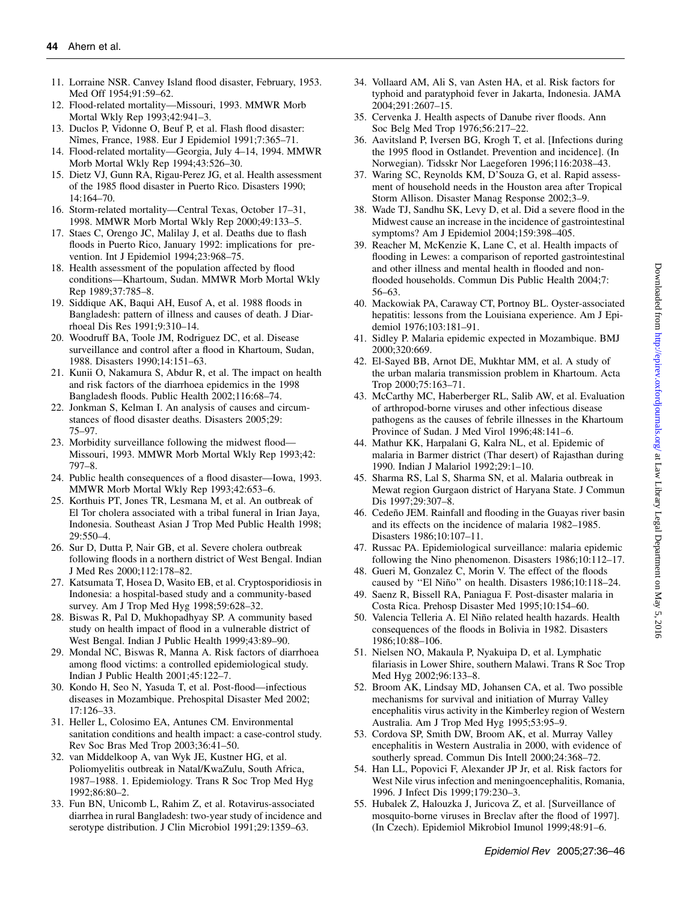- 11. Lorraine NSR. Canvey Island flood disaster, February, 1953. Med Off 1954;91:59–62.
- 12. Flood-related mortality—Missouri, 1993. MMWR Morb Mortal Wkly Rep 1993;42:941–3.
- 13. Duclos P, Vidonne O, Beuf P, et al. Flash flood disaster: Nîmes, France, 1988. Eur J Epidemiol 1991;7:365–71.
- 14. Flood-related mortality—Georgia, July 4–14, 1994. MMWR Morb Mortal Wkly Rep 1994;43:526–30.
- 15. Dietz VJ, Gunn RA, Rigau-Perez JG, et al. Health assessment of the 1985 flood disaster in Puerto Rico. Disasters 1990; 14:164–70.
- 16. Storm-related mortality—Central Texas, October 17–31, 1998. MMWR Morb Mortal Wkly Rep 2000;49:133–5.
- 17. Staes C, Orengo JC, Malilay J, et al. Deaths due to flash floods in Puerto Rico, January 1992: implications for prevention. Int J Epidemiol 1994;23:968–75.
- 18. Health assessment of the population affected by flood conditions—Khartoum, Sudan. MMWR Morb Mortal Wkly Rep 1989;37:785–8.
- 19. Siddique AK, Baqui AH, Eusof A, et al. 1988 floods in Bangladesh: pattern of illness and causes of death. J Diarrhoeal Dis Res 1991;9:310–14.
- 20. Woodruff BA, Toole JM, Rodriguez DC, et al. Disease surveillance and control after a flood in Khartoum, Sudan, 1988. Disasters 1990;14:151–63.
- 21. Kunii O, Nakamura S, Abdur R, et al. The impact on health and risk factors of the diarrhoea epidemics in the 1998 Bangladesh floods. Public Health 2002;116:68–74.
- 22. Jonkman S, Kelman I. An analysis of causes and circumstances of flood disaster deaths. Disasters 2005;29: 75–97.
- 23. Morbidity surveillance following the midwest flood— Missouri, 1993. MMWR Morb Mortal Wkly Rep 1993;42: 797–8.
- 24. Public health consequences of a flood disaster—Iowa, 1993. MMWR Morb Mortal Wkly Rep 1993;42:653–6.
- 25. Korthuis PT, Jones TR, Lesmana M, et al. An outbreak of El Tor cholera associated with a tribal funeral in Irian Jaya, Indonesia. Southeast Asian J Trop Med Public Health 1998;  $29.550 - 4$
- 26. Sur D, Dutta P, Nair GB, et al. Severe cholera outbreak following floods in a northern district of West Bengal. Indian J Med Res 2000;112:178–82.
- 27. Katsumata T, Hosea D, Wasito EB, et al. Cryptosporidiosis in Indonesia: a hospital-based study and a community-based survey. Am J Trop Med Hyg 1998;59:628–32.
- 28. Biswas R, Pal D, Mukhopadhyay SP. A community based study on health impact of flood in a vulnerable district of West Bengal. Indian J Public Health 1999;43:89–90.
- 29. Mondal NC, Biswas R, Manna A. Risk factors of diarrhoea among flood victims: a controlled epidemiological study. Indian J Public Health 2001;45:122–7.
- 30. Kondo H, Seo N, Yasuda T, et al. Post-flood—infectious diseases in Mozambique. Prehospital Disaster Med 2002; 17:126–33.
- 31. Heller L, Colosimo EA, Antunes CM. Environmental sanitation conditions and health impact: a case-control study. Rev Soc Bras Med Trop 2003;36:41–50.
- 32. van Middelkoop A, van Wyk JE, Kustner HG, et al. Poliomyelitis outbreak in Natal/KwaZulu, South Africa, 1987–1988. 1. Epidemiology. Trans R Soc Trop Med Hyg 1992;86:80–2.
- 33. Fun BN, Unicomb L, Rahim Z, et al. Rotavirus-associated diarrhea in rural Bangladesh: two-year study of incidence and serotype distribution. J Clin Microbiol 1991;29:1359–63.
- 34. Vollaard AM, Ali S, van Asten HA, et al. Risk factors for typhoid and paratyphoid fever in Jakarta, Indonesia. JAMA 2004;291:2607–15.
- 35. Cervenka J. Health aspects of Danube river floods. Ann Soc Belg Med Trop 1976;56:217–22.
- 36. Aavitsland P, Iversen BG, Krogh T, et al. [Infections during the 1995 flood in Ostlandet. Prevention and incidence]. (In Norwegian). Tidsskr Nor Laegeforen 1996;116:2038–43.
- 37. Waring SC, Reynolds KM, D'Souza G, et al. Rapid assessment of household needs in the Houston area after Tropical Storm Allison. Disaster Manag Response 2002;3–9.
- 38. Wade TJ, Sandhu SK, Levy D, et al. Did a severe flood in the Midwest cause an increase in the incidence of gastrointestinal symptoms? Am J Epidemiol 2004;159:398–405.
- 39. Reacher M, McKenzie K, Lane C, et al. Health impacts of flooding in Lewes: a comparison of reported gastrointestinal and other illness and mental health in flooded and nonflooded households. Commun Dis Public Health 2004;7: 56–63.
- 40. Mackowiak PA, Caraway CT, Portnoy BL. Oyster-associated hepatitis: lessons from the Louisiana experience. Am J Epidemiol 1976;103:181–91.
- 41. Sidley P. Malaria epidemic expected in Mozambique. BMJ 2000;320:669.
- 42. El-Sayed BB, Arnot DE, Mukhtar MM, et al. A study of the urban malaria transmission problem in Khartoum. Acta Trop 2000;75:163–71.
- 43. McCarthy MC, Haberberger RL, Salib AW, et al. Evaluation of arthropod-borne viruses and other infectious disease pathogens as the causes of febrile illnesses in the Khartoum Province of Sudan. J Med Virol 1996;48:141–6.
- 44. Mathur KK, Harpalani G, Kalra NL, et al. Epidemic of malaria in Barmer district (Thar desert) of Rajasthan during 1990. Indian J Malariol 1992;29:1–10.
- 45. Sharma RS, Lal S, Sharma SN, et al. Malaria outbreak in Mewat region Gurgaon district of Haryana State. J Commun Dis 1997;29:307–8.
- 46. Cedeño JEM. Rainfall and flooding in the Guayas river basin and its effects on the incidence of malaria 1982–1985. Disasters 1986;10:107–11.
- 47. Russac PA. Epidemiological surveillance: malaria epidemic following the Nino phenomenon. Disasters 1986;10:112–17.
- 48. Gueri M, Gonzalez C, Morin V. The effect of the floods caused by "El Niño" on health. Disasters 1986;10:118-24.
- 49. Saenz R, Bissell RA, Paniagua F. Post-disaster malaria in Costa Rica. Prehosp Disaster Med 1995;10:154–60.
- 50. Valencia Telleria A. El Niño related health hazards. Health consequences of the floods in Bolivia in 1982. Disasters 1986;10:88–106.
- 51. Nielsen NO, Makaula P, Nyakuipa D, et al. Lymphatic filariasis in Lower Shire, southern Malawi. Trans R Soc Trop Med Hyg 2002;96:133–8.
- 52. Broom AK, Lindsay MD, Johansen CA, et al. Two possible mechanisms for survival and initiation of Murray Valley encephalitis virus activity in the Kimberley region of Western Australia. Am J Trop Med Hyg 1995;53:95–9.
- 53. Cordova SP, Smith DW, Broom AK, et al. Murray Valley encephalitis in Western Australia in 2000, with evidence of southerly spread. Commun Dis Intell 2000;24:368–72.
- 54. Han LL, Popovici F, Alexander JP Jr, et al. Risk factors for West Nile virus infection and meningoencephalitis, Romania, 1996. J Infect Dis 1999;179:230–3.
- 55. Hubalek Z, Halouzka J, Juricova Z, et al. [Surveillance of mosquito-borne viruses in Breclav after the flood of 1997]. (In Czech). Epidemiol Mikrobiol Imunol 1999;48:91–6.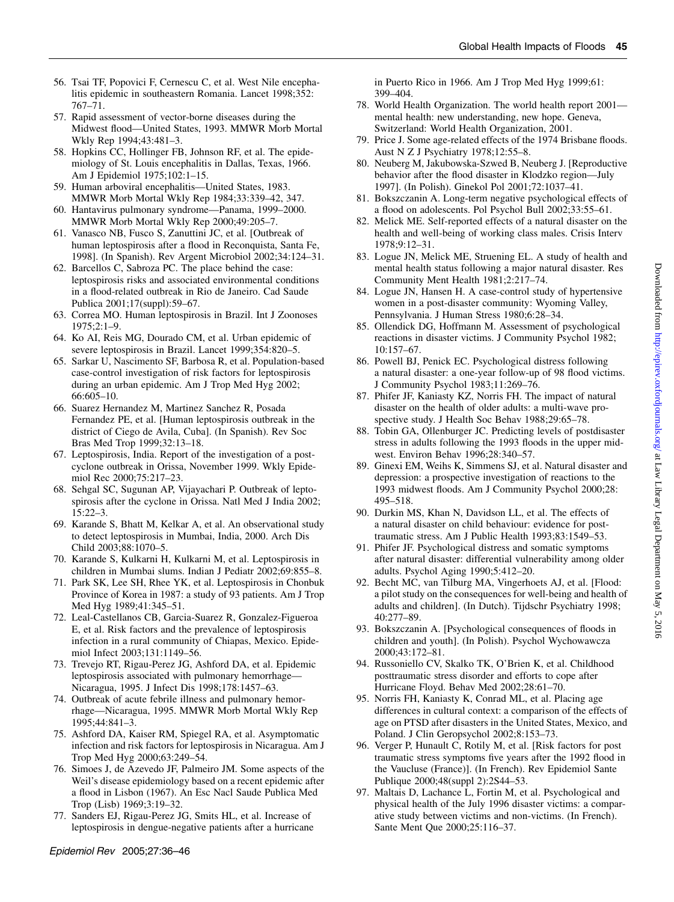- 56. Tsai TF, Popovici F, Cernescu C, et al. West Nile encephalitis epidemic in southeastern Romania. Lancet 1998;352: 767–71.
- 57. Rapid assessment of vector-borne diseases during the Midwest flood—United States, 1993. MMWR Morb Mortal Wkly Rep 1994;43:481–3.
- 58. Hopkins CC, Hollinger FB, Johnson RF, et al. The epidemiology of St. Louis encephalitis in Dallas, Texas, 1966. Am J Epidemiol 1975;102:1–15.
- 59. Human arboviral encephalitis—United States, 1983. MMWR Morb Mortal Wkly Rep 1984;33:339–42, 347.
- 60. Hantavirus pulmonary syndrome—Panama, 1999–2000. MMWR Morb Mortal Wkly Rep 2000;49:205–7.
- 61. Vanasco NB, Fusco S, Zanuttini JC, et al. [Outbreak of human leptospirosis after a flood in Reconquista, Santa Fe, 1998]. (In Spanish). Rev Argent Microbiol 2002;34:124–31.
- 62. Barcellos C, Sabroza PC. The place behind the case: leptospirosis risks and associated environmental conditions in a flood-related outbreak in Rio de Janeiro. Cad Saude Publica 2001;17(suppl):59–67.
- 63. Correa MO. Human leptospirosis in Brazil. Int J Zoonoses 1975;2:1–9.
- 64. Ko AI, Reis MG, Dourado CM, et al. Urban epidemic of severe leptospirosis in Brazil. Lancet 1999;354:820–5.
- 65. Sarkar U, Nascimento SF, Barbosa R, et al. Population-based case-control investigation of risk factors for leptospirosis during an urban epidemic. Am J Trop Med Hyg 2002; 66:605–10.
- 66. Suarez Hernandez M, Martinez Sanchez R, Posada Fernandez PE, et al. [Human leptospirosis outbreak in the district of Ciego de Avila, Cuba]. (In Spanish). Rev Soc Bras Med Trop 1999;32:13–18.
- 67. Leptospirosis, India. Report of the investigation of a postcyclone outbreak in Orissa, November 1999. Wkly Epidemiol Rec 2000;75:217–23.
- 68. Sehgal SC, Sugunan AP, Vijayachari P. Outbreak of leptospirosis after the cyclone in Orissa. Natl Med J India 2002; 15:22–3.
- 69. Karande S, Bhatt M, Kelkar A, et al. An observational study to detect leptospirosis in Mumbai, India, 2000. Arch Dis Child 2003;88:1070–5.
- 70. Karande S, Kulkarni H, Kulkarni M, et al. Leptospirosis in children in Mumbai slums. Indian J Pediatr 2002;69:855–8.
- 71. Park SK, Lee SH, Rhee YK, et al. Leptospirosis in Chonbuk Province of Korea in 1987: a study of 93 patients. Am J Trop Med Hyg 1989;41:345–51.
- 72. Leal-Castellanos CB, Garcia-Suarez R, Gonzalez-Figueroa E, et al. Risk factors and the prevalence of leptospirosis infection in a rural community of Chiapas, Mexico. Epidemiol Infect 2003;131:1149–56.
- 73. Trevejo RT, Rigau-Perez JG, Ashford DA, et al. Epidemic leptospirosis associated with pulmonary hemorrhage— Nicaragua, 1995. J Infect Dis 1998;178:1457–63.
- 74. Outbreak of acute febrile illness and pulmonary hemorrhage—Nicaragua, 1995. MMWR Morb Mortal Wkly Rep 1995;44:841–3.
- 75. Ashford DA, Kaiser RM, Spiegel RA, et al. Asymptomatic infection and risk factors for leptospirosis in Nicaragua. Am J Trop Med Hyg 2000;63:249–54.
- 76. Simoes J, de Azevedo JF, Palmeiro JM. Some aspects of the Weil's disease epidemiology based on a recent epidemic after a flood in Lisbon (1967). An Esc Nacl Saude Publica Med Trop (Lisb) 1969;3:19–32.
- 77. Sanders EJ, Rigau-Perez JG, Smits HL, et al. Increase of leptospirosis in dengue-negative patients after a hurricane

in Puerto Rico in 1966. Am J Trop Med Hyg 1999;61: 399–404.

- 78. World Health Organization. The world health report 2001 mental health: new understanding, new hope. Geneva, Switzerland: World Health Organization, 2001.
- 79. Price J. Some age-related effects of the 1974 Brisbane floods. Aust N Z J Psychiatry 1978;12:55–8.
- 80. Neuberg M, Jakubowska-Szwed B, Neuberg J. [Reproductive behavior after the flood disaster in Klodzko region—July 1997]. (In Polish). Ginekol Pol 2001;72:1037–41.
- 81. Bokszczanin A. Long-term negative psychological effects of a flood on adolescents. Pol Psychol Bull 2002;33:55–61.
- 82. Melick ME. Self-reported effects of a natural disaster on the health and well-being of working class males. Crisis Interv 1978;9:12–31.
- 83. Logue JN, Melick ME, Struening EL. A study of health and mental health status following a major natural disaster. Res Community Ment Health 1981;2:217–74.
- 84. Logue JN, Hansen H. A case-control study of hypertensive women in a post-disaster community: Wyoming Valley, Pennsylvania. J Human Stress 1980;6:28–34.
- 85. Ollendick DG, Hoffmann M. Assessment of psychological reactions in disaster victims. J Community Psychol 1982; 10:157–67.
- 86. Powell BJ, Penick EC. Psychological distress following a natural disaster: a one-year follow-up of 98 flood victims. J Community Psychol 1983;11:269–76.
- 87. Phifer JF, Kaniasty KZ, Norris FH. The impact of natural disaster on the health of older adults: a multi-wave prospective study. J Health Soc Behav 1988;29:65–78.
- 88. Tobin GA, Ollenburger JC. Predicting levels of postdisaster stress in adults following the 1993 floods in the upper midwest. Environ Behav 1996;28:340–57.
- 89. Ginexi EM, Weihs K, Simmens SJ, et al. Natural disaster and depression: a prospective investigation of reactions to the 1993 midwest floods. Am J Community Psychol 2000;28: 495–518.
- 90. Durkin MS, Khan N, Davidson LL, et al. The effects of a natural disaster on child behaviour: evidence for posttraumatic stress. Am J Public Health 1993;83:1549–53.
- 91. Phifer JF. Psychological distress and somatic symptoms after natural disaster: differential vulnerability among older adults. Psychol Aging 1990;5:412–20.
- 92. Becht MC, van Tilburg MA, Vingerhoets AJ, et al. [Flood: a pilot study on the consequences for well-being and health of adults and children]. (In Dutch). Tijdschr Psychiatry 1998; 40:277–89.
- 93. Bokszczanin A. [Psychological consequences of floods in children and youth]. (In Polish). Psychol Wychowawcza 2000;43:172–81.
- 94. Russoniello CV, Skalko TK, O'Brien K, et al. Childhood posttraumatic stress disorder and efforts to cope after Hurricane Floyd. Behav Med 2002;28:61–70.
- 95. Norris FH, Kaniasty K, Conrad ML, et al. Placing age differences in cultural context: a comparison of the effects of age on PTSD after disasters in the United States, Mexico, and Poland. J Clin Geropsychol 2002;8:153–73.
- 96. Verger P, Hunault C, Rotily M, et al. [Risk factors for post traumatic stress symptoms five years after the 1992 flood in the Vaucluse (France)]. (In French). Rev Epidemiol Sante Publique 2000;48(suppl 2):2S44–53.
- 97. Maltais D, Lachance L, Fortin M, et al. Psychological and physical health of the July 1996 disaster victims: a comparative study between victims and non-victims. (In French). Sante Ment Que 2000;25:116–37.